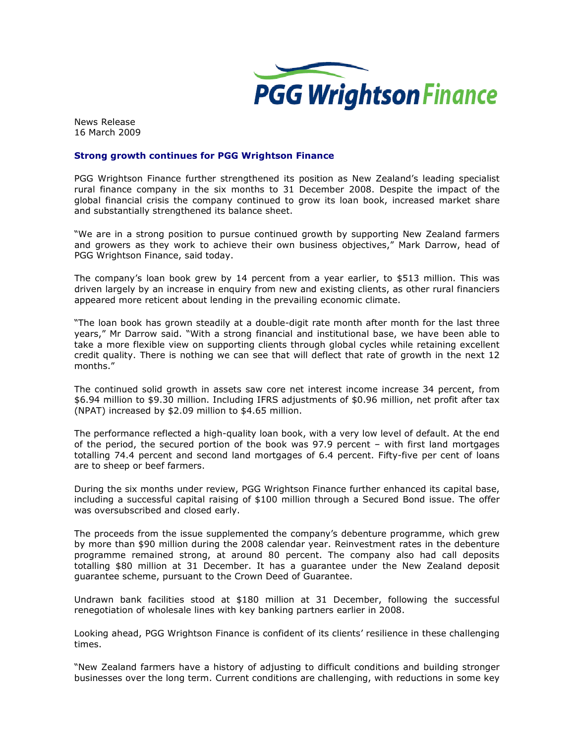

News Release 16 March 2009

## Strong growth continues for PGG Wrightson Finance

PGG Wrightson Finance further strengthened its position as New Zealand's leading specialist rural finance company in the six months to 31 December 2008. Despite the impact of the global financial crisis the company continued to grow its loan book, increased market share and substantially strengthened its balance sheet.

"We are in a strong position to pursue continued growth by supporting New Zealand farmers and growers as they work to achieve their own business objectives," Mark Darrow, head of PGG Wrightson Finance, said today.

The company's loan book grew by 14 percent from a year earlier, to \$513 million. This was driven largely by an increase in enquiry from new and existing clients, as other rural financiers appeared more reticent about lending in the prevailing economic climate.

"The loan book has grown steadily at a double-digit rate month after month for the last three years," Mr Darrow said. "With a strong financial and institutional base, we have been able to take a more flexible view on supporting clients through global cycles while retaining excellent credit quality. There is nothing we can see that will deflect that rate of growth in the next 12 months."

The continued solid growth in assets saw core net interest income increase 34 percent, from \$6.94 million to \$9.30 million. Including IFRS adjustments of \$0.96 million, net profit after tax (NPAT) increased by \$2.09 million to \$4.65 million.

The performance reflected a high-quality loan book, with a very low level of default. At the end of the period, the secured portion of the book was 97.9 percent – with first land mortgages totalling 74.4 percent and second land mortgages of 6.4 percent. Fifty-five per cent of loans are to sheep or beef farmers.

During the six months under review, PGG Wrightson Finance further enhanced its capital base, including a successful capital raising of \$100 million through a Secured Bond issue. The offer was oversubscribed and closed early.

The proceeds from the issue supplemented the company's debenture programme, which grew by more than \$90 million during the 2008 calendar year. Reinvestment rates in the debenture programme remained strong, at around 80 percent. The company also had call deposits totalling \$80 million at 31 December. It has a guarantee under the New Zealand deposit guarantee scheme, pursuant to the Crown Deed of Guarantee.

Undrawn bank facilities stood at \$180 million at 31 December, following the successful renegotiation of wholesale lines with key banking partners earlier in 2008.

Looking ahead, PGG Wrightson Finance is confident of its clients' resilience in these challenging times.

"New Zealand farmers have a history of adjusting to difficult conditions and building stronger businesses over the long term. Current conditions are challenging, with reductions in some key